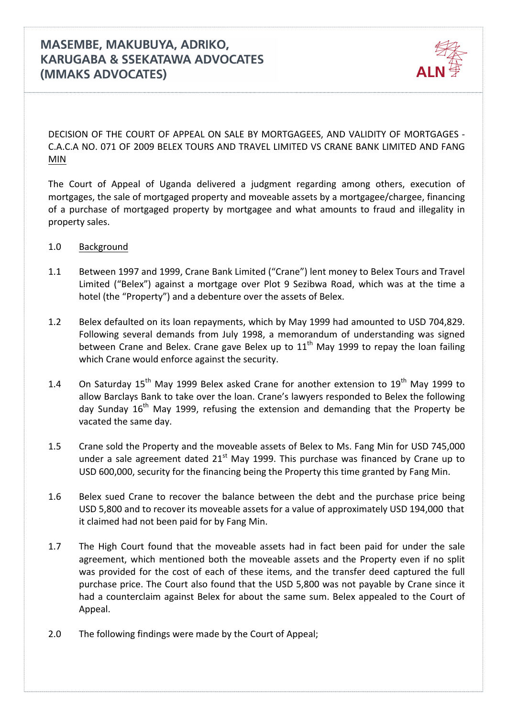

DECISION OF THE COURT OF APPEAL ON SALE BY MORTGAGEES, AND VALIDITY OF MORTGAGES -C.A.C.A NO. 071 OF 2009 BELEX TOURS AND TRAVEL LIMITED VS CRANE BANK LIMITED AND FANG MIN

The Court of Appeal of Uganda delivered a judgment regarding among others, execution of mortgages, the sale of mortgaged property and moveable assets by a mortgagee/chargee, financing of a purchase of mortgaged property by mortgagee and what amounts to fraud and illegality in property sales.

- 1.0 Background
- 1.1 Between 1997 and 1999, Crane Bank Limited ("Crane") lent money to Belex Tours and Travel Limited ("Belex") against a mortgage over Plot 9 Sezibwa Road, which was at the time a hotel (the "Property") and a debenture over the assets of Belex.
- 1.2 Belex defaulted on its loan repayments, which by May 1999 had amounted to USD 704,829. Following several demands from July 1998, a memorandum of understanding was signed between Crane and Belex. Crane gave Belex up to  $11<sup>th</sup>$  May 1999 to repay the loan failing which Crane would enforce against the security.
- 1.4 On Saturday  $15^{th}$  May 1999 Belex asked Crane for another extension to  $19^{th}$  May 1999 to allow Barclays Bank to take over the loan. Crane's lawyers responded to Belex the following day Sunday  $16<sup>th</sup>$  May 1999, refusing the extension and demanding that the Property be vacated the same day.
- 1.5 Crane sold the Property and the moveable assets of Belex to Ms. Fang Min for USD 745,000 under a sale agreement dated  $21<sup>st</sup>$  May 1999. This purchase was financed by Crane up to USD 600,000, security for the financing being the Property this time granted by Fang Min.
- 1.6 Belex sued Crane to recover the balance between the debt and the purchase price being USD 5,800 and to recover its moveable assets for a value of approximately USD 194,000 that it claimed had not been paid for by Fang Min.
- 1.7 The High Court found that the moveable assets had in fact been paid for under the sale agreement, which mentioned both the moveable assets and the Property even if no split was provided for the cost of each of these items, and the transfer deed captured the full purchase price. The Court also found that the USD 5,800 was not payable by Crane since it had a counterclaim against Belex for about the same sum. Belex appealed to the Court of Appeal.
- 2.0 The following findings were made by the Court of Appeal;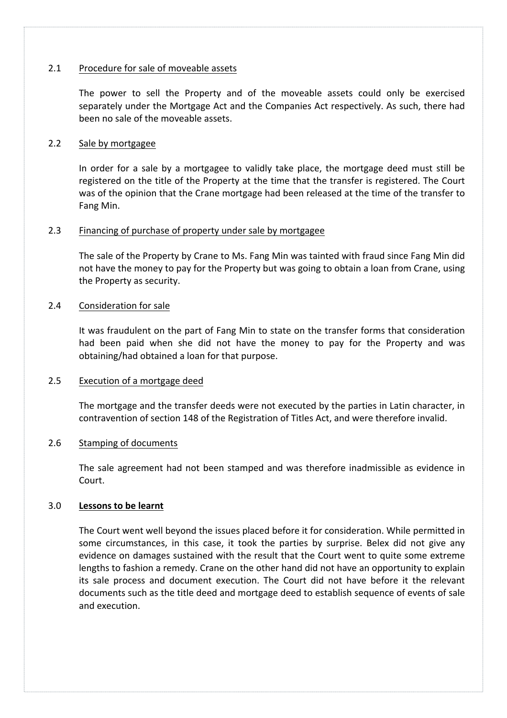### 2.1 Procedure for sale of moveable assets

The power to sell the Property and of the moveable assets could only be exercised separately under the Mortgage Act and the Companies Act respectively. As such, there had been no sale of the moveable assets.

### 2.2 Sale by mortgagee

In order for a sale by a mortgagee to validly take place, the mortgage deed must still be registered on the title of the Property at the time that the transfer is registered. The Court was of the opinion that the Crane mortgage had been released at the time of the transfer to Fang Min.

### 2.3 Financing of purchase of property under sale by mortgagee

The sale of the Property by Crane to Ms. Fang Min was tainted with fraud since Fang Min did not have the money to pay for the Property but was going to obtain a loan from Crane, using the Property as security.

# 2.4 Consideration for sale

It was fraudulent on the part of Fang Min to state on the transfer forms that consideration had been paid when she did not have the money to pay for the Property and was obtaining/had obtained a loan for that purpose.

# 2.5 Execution of a mortgage deed

The mortgage and the transfer deeds were not executed by the parties in Latin character, in contravention of section 148 of the Registration of Titles Act, and were therefore invalid.

# 2.6 Stamping of documents

The sale agreement had not been stamped and was therefore inadmissible as evidence in Court.

# 3.0 **Lessons to be learnt**

The Court went well beyond the issues placed before it for consideration. While permitted in some circumstances, in this case, it took the parties by surprise. Belex did not give any evidence on damages sustained with the result that the Court went to quite some extreme lengths to fashion a remedy. Crane on the other hand did not have an opportunity to explain its sale process and document execution. The Court did not have before it the relevant documents such as the title deed and mortgage deed to establish sequence of events of sale and execution.